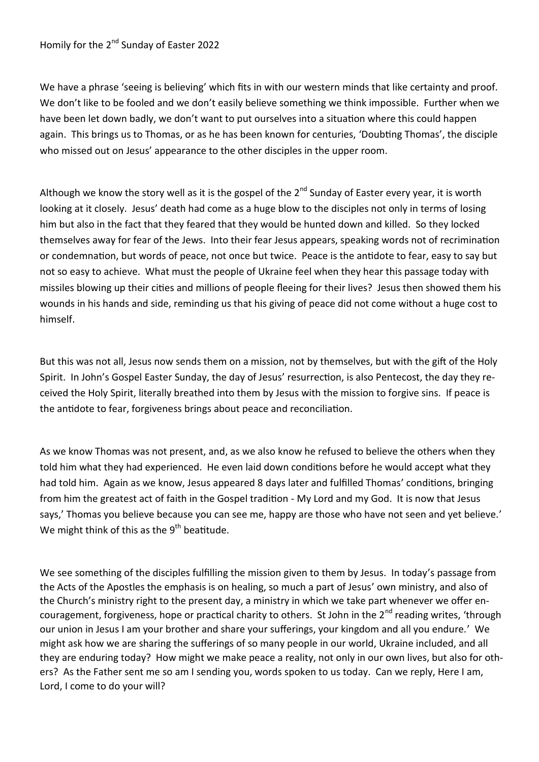We have a phrase 'seeing is believing' which fits in with our western minds that like certainty and proof. We don't like to be fooled and we don't easily believe something we think impossible. Further when we have been let down badly, we don't want to put ourselves into a situation where this could happen again. This brings us to Thomas, or as he has been known for centuries, 'Doubting Thomas', the disciple who missed out on Jesus' appearance to the other disciples in the upper room.

Although we know the story well as it is the gospel of the  $2^{nd}$  Sunday of Easter every year, it is worth looking at it closely. Jesus' death had come as a huge blow to the disciples not only in terms of losing him but also in the fact that they feared that they would be hunted down and killed. So they locked themselves away for fear of the Jews. Into their fear Jesus appears, speaking words not of recrimination or condemnation, but words of peace, not once but twice. Peace is the antidote to fear, easy to say but not so easy to achieve. What must the people of Ukraine feel when they hear this passage today with missiles blowing up their cities and millions of people fleeing for their lives? Jesus then showed them his wounds in his hands and side, reminding us that his giving of peace did not come without a huge cost to himself.

But this was not all, Jesus now sends them on a mission, not by themselves, but with the gift of the Holy Spirit. In John's Gospel Easter Sunday, the day of Jesus' resurrection, is also Pentecost, the day they received the Holy Spirit, literally breathed into them by Jesus with the mission to forgive sins. If peace is the antidote to fear, forgiveness brings about peace and reconciliation.

As we know Thomas was not present, and, as we also know he refused to believe the others when they told him what they had experienced. He even laid down conditions before he would accept what they had told him. Again as we know, Jesus appeared 8 days later and fulfilled Thomas' conditions, bringing from him the greatest act of faith in the Gospel tradition - My Lord and my God. It is now that Jesus says,' Thomas you believe because you can see me, happy are those who have not seen and yet believe.' We might think of this as the  $9<sup>th</sup>$  beatitude.

We see something of the disciples fulfilling the mission given to them by Jesus. In today's passage from the Acts of the Apostles the emphasis is on healing, so much a part of Jesus' own ministry, and also of the Church's ministry right to the present day, a ministry in which we take part whenever we offer encouragement, forgiveness, hope or practical charity to others. St John in the 2<sup>nd</sup> reading writes, 'through our union in Jesus I am your brother and share your sufferings, your kingdom and all you endure.' We might ask how we are sharing the sufferings of so many people in our world, Ukraine included, and all they are enduring today? How might we make peace a reality, not only in our own lives, but also for others? As the Father sent me so am I sending you, words spoken to us today. Can we reply, Here I am, Lord, I come to do your will?